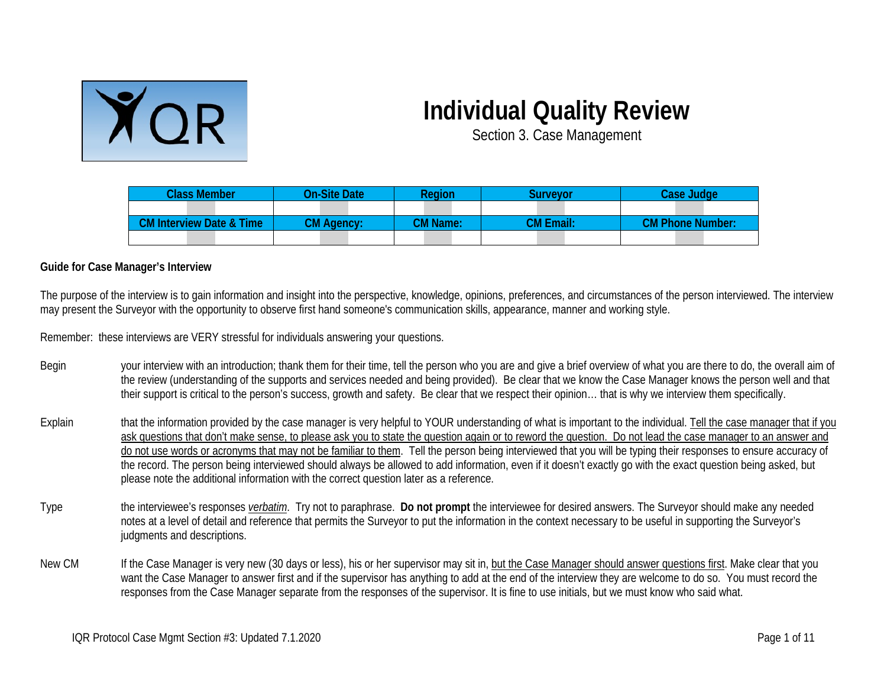

## **Individual Quality Review**

Section 3. Case Management

| <b>Class Member</b>                 | <b>On-Site Date</b> | Region          | Survevor         | <b>Case Judge</b>       |
|-------------------------------------|---------------------|-----------------|------------------|-------------------------|
|                                     |                     |                 |                  |                         |
| <b>CM Interview Date &amp; Time</b> | <b>CM Agency:</b>   | <b>CM Name:</b> | <b>CM Email:</b> | <b>CM Phone Number:</b> |
|                                     |                     |                 |                  |                         |

## **Guide for Case Manager's Interview**

The purpose of the interview is to gain information and insight into the perspective, knowledge, opinions, preferences, and circumstances of the person interviewed. The interview may present the Surveyor with the opportunity to observe first hand someone's communication skills, appearance, manner and working style.

Remember: these interviews are VERY stressful for individuals answering your questions.

- Begin your interview with an introduction; thank them for their time, tell the person who you are and give a brief overview of what you are there to do, the overall aim of the review (understanding of the supports and services needed and being provided). Be clear that we know the Case Manager knows the person well and that their support is critical to the person's success, growth and safety. Be clear that we respect their opinion… that is why we interview them specifically.
- Explain that the information provided by the case manager is very helpful to YOUR understanding of what is important to the individual. Tell the case manager that if you ask questions that don't make sense, to please ask you to state the question again or to reword the question. Do not lead the case manager to an answer and do not use words or acronyms that may not be familiar to them. Tell the person being interviewed that you will be typing their responses to ensure accuracy of the record. The person being interviewed should always be allowed to add information, even if it doesn't exactly go with the exact question being asked, but please note the additional information with the correct question later as a reference.
- Type the interviewee's responses *verbatim*. Try not to paraphrase. **Do not prompt** the interviewee for desired answers. The Surveyor should make any needed notes at a level of detail and reference that permits the Surveyor to put the information in the context necessary to be useful in supporting the Surveyor's judgments and descriptions.
- New CM If the Case Manager is very new (30 days or less), his or her supervisor may sit in, but the Case Manager should answer questions first. Make clear that you want the Case Manager to answer first and if the supervisor has anything to add at the end of the interview they are welcome to do so. You must record the responses from the Case Manager separate from the responses of the supervisor. It is fine to use initials, but we must know who said what.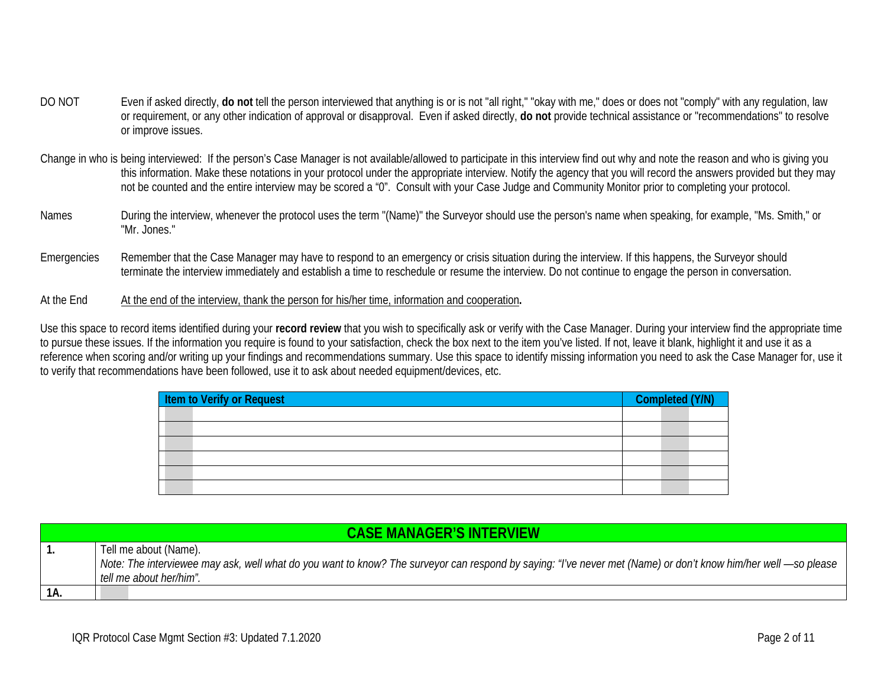- DO NOT Even if asked directly, do not tell the person interviewed that anything is or is not "all right," "okay with me," does or does not "comply" with any regulation, law or requirement, or any other indication of approval or disapproval. Even if asked directly, **do not** provide technical assistance or "recommendations" to resolve or improve issues.
- Change in who is being interviewed: If the person's Case Manager is not available/allowed to participate in this interview find out why and note the reason and who is giving you this information. Make these notations in your protocol under the appropriate interview. Notify the agency that you will record the answers provided but they may not be counted and the entire interview may be scored a "0". Consult with your Case Judge and Community Monitor prior to completing your protocol.
- Names During the interview, whenever the protocol uses the term "(Name)" the Surveyor should use the person's name when speaking, for example, "Ms. Smith," or "Mr. Jones."
- Emergencies Remember that the Case Manager may have to respond to an emergency or crisis situation during the interview. If this happens, the Surveyor should terminate the interview immediately and establish a time to reschedule or resume the interview. Do not continue to engage the person in conversation.
- At the End At the end of the interview, thank the person for his/her time, information and cooperation**.**

Use this space to record items identified during your **record review** that you wish to specifically ask or verify with the Case Manager. During your interview find the appropriate time to pursue these issues. If the information you require is found to your satisfaction, check the box next to the item you've listed. If not, leave it blank, highlight it and use it as a reference when scoring and/or writing up your findings and recommendations summary. Use this space to identify missing information you need to ask the Case Manager for, use it to verify that recommendations have been followed, use it to ask about needed equipment/devices, etc.

| <b>Item to Verify or Request</b> | Completed (Y/N) |  |
|----------------------------------|-----------------|--|
|                                  |                 |  |
|                                  |                 |  |
|                                  |                 |  |
|                                  |                 |  |
|                                  |                 |  |
|                                  |                 |  |

|     | <b>CASE MANAGER'S INTERVIEW</b>                                                                                                                                |  |  |  |  |
|-----|----------------------------------------------------------------------------------------------------------------------------------------------------------------|--|--|--|--|
|     | Tell me about (Name).                                                                                                                                          |  |  |  |  |
|     | Note: The interviewee may ask, well what do you want to know? The surveyor can respond by saying: "I've never met (Name) or don't know him/her well —so please |  |  |  |  |
|     | tell me about her/him".                                                                                                                                        |  |  |  |  |
| 1A. |                                                                                                                                                                |  |  |  |  |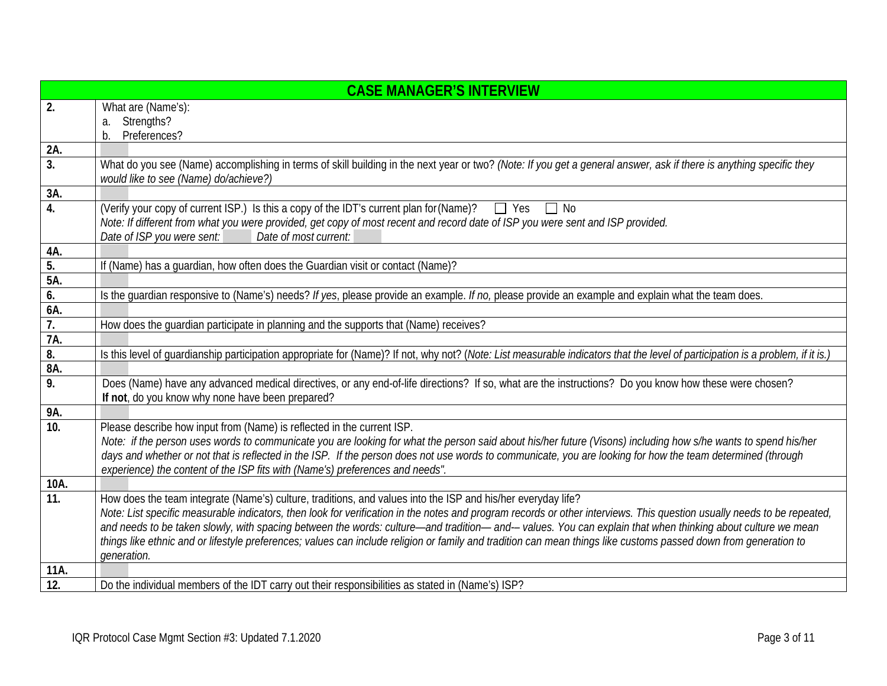|                   | <b>CASE MANAGER'S INTERVIEW</b>                                                                                                                                                                              |  |  |  |  |
|-------------------|--------------------------------------------------------------------------------------------------------------------------------------------------------------------------------------------------------------|--|--|--|--|
| 2.                | What are (Name's):                                                                                                                                                                                           |  |  |  |  |
|                   | a. Strengths?                                                                                                                                                                                                |  |  |  |  |
|                   | Preferences?<br>b.                                                                                                                                                                                           |  |  |  |  |
| 2A.               |                                                                                                                                                                                                              |  |  |  |  |
| 3.                | What do you see (Name) accomplishing in terms of skill building in the next year or two? (Note: If you get a general answer, ask if there is anything specific they<br>would like to see (Name) do/achieve?) |  |  |  |  |
| 3A.               |                                                                                                                                                                                                              |  |  |  |  |
| 4.                | (Verify your copy of current ISP.) Is this a copy of the IDT's current plan for (Name)?<br>$\Box$ Yes<br>$\Box$ No                                                                                           |  |  |  |  |
|                   | Note: If different from what you were provided, get copy of most recent and record date of ISP you were sent and ISP provided.                                                                               |  |  |  |  |
|                   | Date of ISP you were sent:<br>Date of most current:                                                                                                                                                          |  |  |  |  |
| 4A.               |                                                                                                                                                                                                              |  |  |  |  |
| 5.                | If (Name) has a guardian, how often does the Guardian visit or contact (Name)?                                                                                                                               |  |  |  |  |
| 5A.               |                                                                                                                                                                                                              |  |  |  |  |
| 6.                | Is the guardian responsive to (Name's) needs? If yes, please provide an example. If no, please provide an example and explain what the team does.                                                            |  |  |  |  |
| 6A.               |                                                                                                                                                                                                              |  |  |  |  |
| 7.                | How does the guardian participate in planning and the supports that (Name) receives?                                                                                                                         |  |  |  |  |
| 7A.               |                                                                                                                                                                                                              |  |  |  |  |
| 8.<br>8A.         | Is this level of guardianship participation appropriate for (Name)? If not, why not? (Note: List measurable indicators that the level of participation is a problem, if it is.)                              |  |  |  |  |
| $\overline{9}$ .  | Does (Name) have any advanced medical directives, or any end-of-life directions? If so, what are the instructions? Do you know how these were chosen?                                                        |  |  |  |  |
|                   | If not, do you know why none have been prepared?                                                                                                                                                             |  |  |  |  |
| 9Α.               |                                                                                                                                                                                                              |  |  |  |  |
| 10.               | Please describe how input from (Name) is reflected in the current ISP.                                                                                                                                       |  |  |  |  |
|                   | Note: if the person uses words to communicate you are looking for what the person said about his/her future (Visons) including how s/he wants to spend his/her                                               |  |  |  |  |
|                   | days and whether or not that is reflected in the ISP. If the person does not use words to communicate, you are looking for how the team determined (through                                                  |  |  |  |  |
|                   | experience) the content of the ISP fits with (Name's) preferences and needs".                                                                                                                                |  |  |  |  |
| 10A.              |                                                                                                                                                                                                              |  |  |  |  |
| 11.               | How does the team integrate (Name's) culture, traditions, and values into the ISP and his/her everyday life?                                                                                                 |  |  |  |  |
|                   | Note: List specific measurable indicators, then look for verification in the notes and program records or other interviews. This question usually needs to be repeated,                                      |  |  |  |  |
|                   | and needs to be taken slowly, with spacing between the words: culture—and tradition—and--values. You can explain that when thinking about culture we mean                                                    |  |  |  |  |
|                   | things like ethnic and or lifestyle preferences; values can include religion or family and tradition can mean things like customs passed down from generation to                                             |  |  |  |  |
|                   | generation.                                                                                                                                                                                                  |  |  |  |  |
| 11A.              |                                                                                                                                                                                                              |  |  |  |  |
| $\overline{12}$ . | Do the individual members of the IDT carry out their responsibilities as stated in (Name's) ISP?                                                                                                             |  |  |  |  |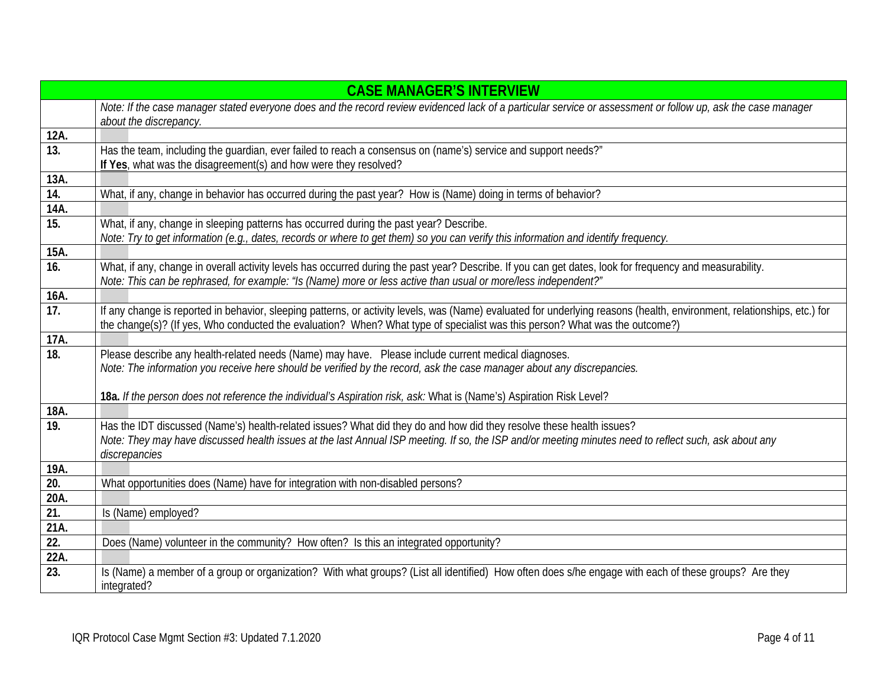|                   | <b>CASE MANAGER'S INTERVIEW</b>                                                                                                                                                                                                                                                                         |  |  |  |  |
|-------------------|---------------------------------------------------------------------------------------------------------------------------------------------------------------------------------------------------------------------------------------------------------------------------------------------------------|--|--|--|--|
|                   | Note: If the case manager stated everyone does and the record review evidenced lack of a particular service or assessment or follow up, ask the case manager<br>about the discrepancy.                                                                                                                  |  |  |  |  |
| 12A.              |                                                                                                                                                                                                                                                                                                         |  |  |  |  |
| 13.               | Has the team, including the quardian, ever failed to reach a consensus on (name's) service and support needs?"<br>If Yes, what was the disagreement(s) and how were they resolved?                                                                                                                      |  |  |  |  |
| 13A.              |                                                                                                                                                                                                                                                                                                         |  |  |  |  |
| 14.               | What, if any, change in behavior has occurred during the past year? How is (Name) doing in terms of behavior?                                                                                                                                                                                           |  |  |  |  |
| 14A.              |                                                                                                                                                                                                                                                                                                         |  |  |  |  |
| 15.               | What, if any, change in sleeping patterns has occurred during the past year? Describe.<br>Note: Try to get information (e.g., dates, records or where to get them) so you can verify this information and identify frequency.                                                                           |  |  |  |  |
| 15A.              |                                                                                                                                                                                                                                                                                                         |  |  |  |  |
| 16.               | What, if any, change in overall activity levels has occurred during the past year? Describe. If you can get dates, look for frequency and measurability.<br>Note: This can be rephrased, for example: "Is (Name) more or less active than usual or more/less independent?"                              |  |  |  |  |
| 16A.              |                                                                                                                                                                                                                                                                                                         |  |  |  |  |
| 17.               | If any change is reported in behavior, sleeping patterns, or activity levels, was (Name) evaluated for underlying reasons (health, environment, relationships, etc.) for<br>the change(s)? (If yes, Who conducted the evaluation? When? What type of specialist was this person? What was the outcome?) |  |  |  |  |
| 17A.              |                                                                                                                                                                                                                                                                                                         |  |  |  |  |
| 18.               | Please describe any health-related needs (Name) may have. Please include current medical diagnoses.                                                                                                                                                                                                     |  |  |  |  |
|                   | Note: The information you receive here should be verified by the record, ask the case manager about any discrepancies.                                                                                                                                                                                  |  |  |  |  |
|                   | 18a. If the person does not reference the individual's Aspiration risk, ask: What is (Name's) Aspiration Risk Level?                                                                                                                                                                                    |  |  |  |  |
| 18A.              |                                                                                                                                                                                                                                                                                                         |  |  |  |  |
| $\overline{19}$ . | Has the IDT discussed (Name's) health-related issues? What did they do and how did they resolve these health issues?                                                                                                                                                                                    |  |  |  |  |
|                   | Note: They may have discussed health issues at the last Annual ISP meeting. If so, the ISP and/or meeting minutes need to reflect such, ask about any<br>discrepancies                                                                                                                                  |  |  |  |  |
| 19A.              |                                                                                                                                                                                                                                                                                                         |  |  |  |  |
| $\overline{20}$ . | What opportunities does (Name) have for integration with non-disabled persons?                                                                                                                                                                                                                          |  |  |  |  |
| 20A.              |                                                                                                                                                                                                                                                                                                         |  |  |  |  |
| 21.               | Is (Name) employed?                                                                                                                                                                                                                                                                                     |  |  |  |  |
| 21A.              |                                                                                                                                                                                                                                                                                                         |  |  |  |  |
| 22.               | Does (Name) volunteer in the community? How often? Is this an integrated opportunity?                                                                                                                                                                                                                   |  |  |  |  |
| 22A.              |                                                                                                                                                                                                                                                                                                         |  |  |  |  |
| 23.               | Is (Name) a member of a group or organization? With what groups? (List all identified) How often does s/he engage with each of these groups? Are they<br>integrated?                                                                                                                                    |  |  |  |  |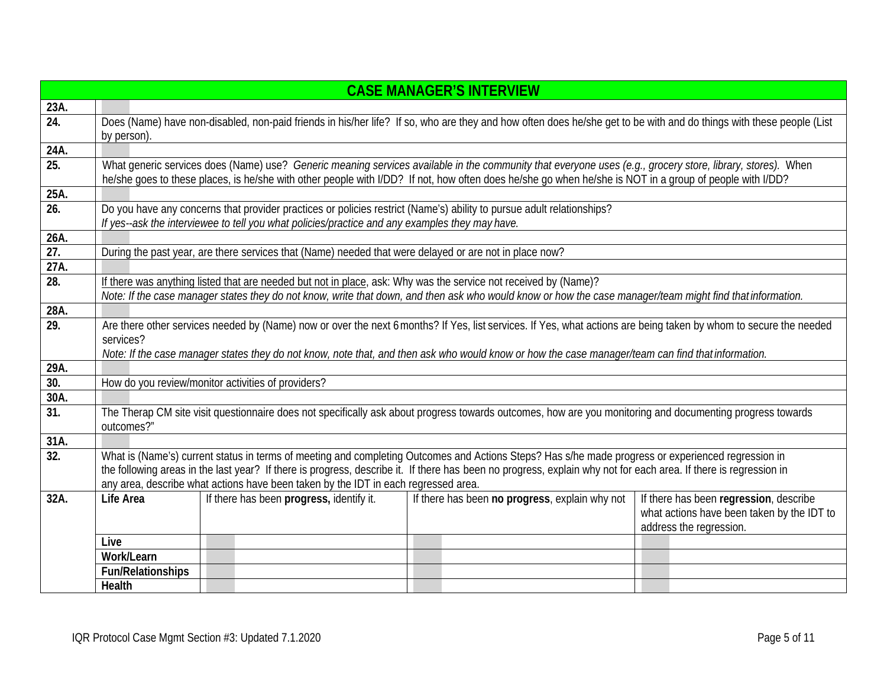|                   | <b>CASE MANAGER'S INTERVIEW</b>                                                                                                                                         |                                                                                                |  |  |                                                                                                                 |  |                                                                                                                                                                                                                                                                                                                       |
|-------------------|-------------------------------------------------------------------------------------------------------------------------------------------------------------------------|------------------------------------------------------------------------------------------------|--|--|-----------------------------------------------------------------------------------------------------------------|--|-----------------------------------------------------------------------------------------------------------------------------------------------------------------------------------------------------------------------------------------------------------------------------------------------------------------------|
| 23A.              |                                                                                                                                                                         |                                                                                                |  |  |                                                                                                                 |  |                                                                                                                                                                                                                                                                                                                       |
| $\overline{24}$ . | Does (Name) have non-disabled, non-paid friends in his/her life? If so, who are they and how often does he/she get to be with and do things with these people (List     |                                                                                                |  |  |                                                                                                                 |  |                                                                                                                                                                                                                                                                                                                       |
|                   | by person).                                                                                                                                                             |                                                                                                |  |  |                                                                                                                 |  |                                                                                                                                                                                                                                                                                                                       |
| 24A.              |                                                                                                                                                                         |                                                                                                |  |  |                                                                                                                 |  |                                                                                                                                                                                                                                                                                                                       |
| $\overline{25}$ . |                                                                                                                                                                         |                                                                                                |  |  |                                                                                                                 |  | What generic services does (Name) use? Generic meaning services available in the community that everyone uses (e.g., grocery store, library, stores). When<br>he/she goes to these places, is he/she with other people with I/DD? If not, how often does he/she go when he/she is NOT in a group of people with I/DD? |
| 25A.              |                                                                                                                                                                         |                                                                                                |  |  |                                                                                                                 |  |                                                                                                                                                                                                                                                                                                                       |
| $\overline{26}$ . | Do you have any concerns that provider practices or policies restrict (Name's) ability to pursue adult relationships?                                                   |                                                                                                |  |  |                                                                                                                 |  |                                                                                                                                                                                                                                                                                                                       |
|                   |                                                                                                                                                                         | If yes--ask the interviewee to tell you what policies/practice and any examples they may have. |  |  |                                                                                                                 |  |                                                                                                                                                                                                                                                                                                                       |
| 26A.              |                                                                                                                                                                         |                                                                                                |  |  |                                                                                                                 |  |                                                                                                                                                                                                                                                                                                                       |
| $\overline{27}$ . |                                                                                                                                                                         |                                                                                                |  |  | During the past year, are there services that (Name) needed that were delayed or are not in place now?          |  |                                                                                                                                                                                                                                                                                                                       |
| 27A.              |                                                                                                                                                                         |                                                                                                |  |  |                                                                                                                 |  |                                                                                                                                                                                                                                                                                                                       |
| $\overline{28}$ . |                                                                                                                                                                         |                                                                                                |  |  | If there was anything listed that are needed but not in place, ask: Why was the service not received by (Name)? |  |                                                                                                                                                                                                                                                                                                                       |
|                   |                                                                                                                                                                         |                                                                                                |  |  |                                                                                                                 |  | Note: If the case manager states they do not know, write that down, and then ask who would know or how the case manager/team might find that information.                                                                                                                                                             |
| 28A.              |                                                                                                                                                                         |                                                                                                |  |  |                                                                                                                 |  |                                                                                                                                                                                                                                                                                                                       |
| 29.               |                                                                                                                                                                         |                                                                                                |  |  |                                                                                                                 |  | Are there other services needed by (Name) now or over the next 6 months? If Yes, list services. If Yes, what actions are being taken by whom to secure the needed                                                                                                                                                     |
|                   | services?                                                                                                                                                               |                                                                                                |  |  |                                                                                                                 |  |                                                                                                                                                                                                                                                                                                                       |
|                   | Note: If the case manager states they do not know, note that, and then ask who would know or how the case manager/team can find that information.                       |                                                                                                |  |  |                                                                                                                 |  |                                                                                                                                                                                                                                                                                                                       |
| 29A.              |                                                                                                                                                                         |                                                                                                |  |  |                                                                                                                 |  |                                                                                                                                                                                                                                                                                                                       |
| 30.               | How do you review/monitor activities of providers?                                                                                                                      |                                                                                                |  |  |                                                                                                                 |  |                                                                                                                                                                                                                                                                                                                       |
| 30A.              |                                                                                                                                                                         |                                                                                                |  |  |                                                                                                                 |  |                                                                                                                                                                                                                                                                                                                       |
| $\overline{31}$ . | The Therap CM site visit questionnaire does not specifically ask about progress towards outcomes, how are you monitoring and documenting progress towards<br>outcomes?" |                                                                                                |  |  |                                                                                                                 |  |                                                                                                                                                                                                                                                                                                                       |
| 31A.              |                                                                                                                                                                         |                                                                                                |  |  |                                                                                                                 |  |                                                                                                                                                                                                                                                                                                                       |
| 32.               |                                                                                                                                                                         |                                                                                                |  |  |                                                                                                                 |  | What is (Name's) current status in terms of meeting and completing Outcomes and Actions Steps? Has s/he made progress or experienced regression in                                                                                                                                                                    |
|                   |                                                                                                                                                                         |                                                                                                |  |  |                                                                                                                 |  | the following areas in the last year? If there is progress, describe it. If there has been no progress, explain why not for each area. If there is regression in                                                                                                                                                      |
|                   |                                                                                                                                                                         | any area, describe what actions have been taken by the IDT in each regressed area.             |  |  |                                                                                                                 |  |                                                                                                                                                                                                                                                                                                                       |
| 32A.              | Life Area                                                                                                                                                               | If there has been progress, identify it.                                                       |  |  | If there has been no progress, explain why not                                                                  |  | If there has been regression, describe                                                                                                                                                                                                                                                                                |
|                   |                                                                                                                                                                         |                                                                                                |  |  |                                                                                                                 |  | what actions have been taken by the IDT to<br>address the regression.                                                                                                                                                                                                                                                 |
|                   | Live                                                                                                                                                                    |                                                                                                |  |  |                                                                                                                 |  |                                                                                                                                                                                                                                                                                                                       |
|                   | Work/Learn                                                                                                                                                              |                                                                                                |  |  |                                                                                                                 |  |                                                                                                                                                                                                                                                                                                                       |
|                   | <b>Fun/Relationships</b>                                                                                                                                                |                                                                                                |  |  |                                                                                                                 |  |                                                                                                                                                                                                                                                                                                                       |
|                   | Health                                                                                                                                                                  |                                                                                                |  |  |                                                                                                                 |  |                                                                                                                                                                                                                                                                                                                       |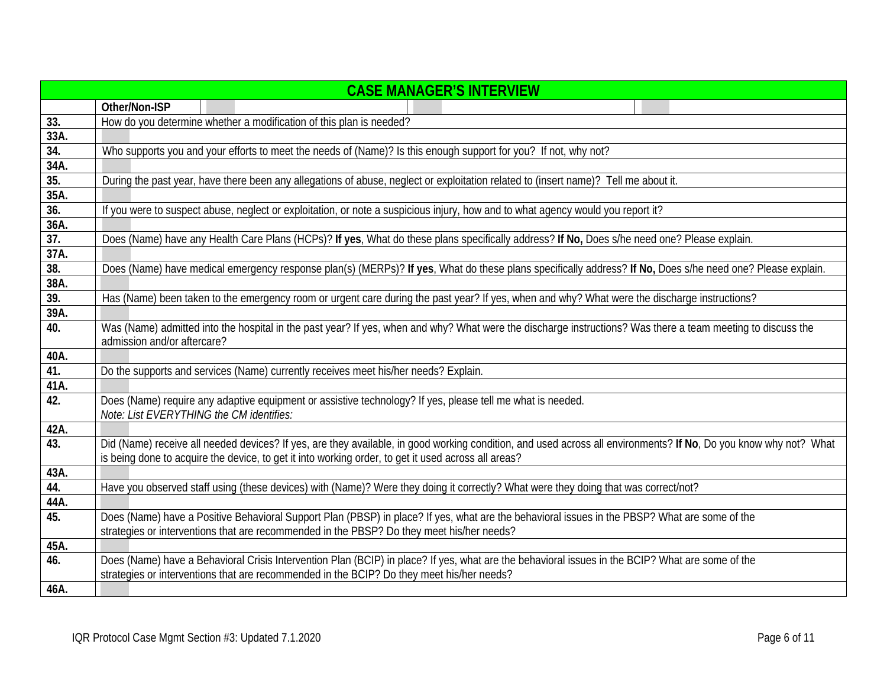|      | <b>CASE MANAGER'S INTERVIEW</b>                                                                                                                                                            |
|------|--------------------------------------------------------------------------------------------------------------------------------------------------------------------------------------------|
|      | Other/Non-ISP                                                                                                                                                                              |
| 33.  | How do you determine whether a modification of this plan is needed?                                                                                                                        |
| 33A. |                                                                                                                                                                                            |
| 34.  | Who supports you and your efforts to meet the needs of (Name)? Is this enough support for you? If not, why not?                                                                            |
| 34A. |                                                                                                                                                                                            |
| 35.  | During the past year, have there been any allegations of abuse, neglect or exploitation related to (insert name)? Tell me about it.                                                        |
| 35A. |                                                                                                                                                                                            |
| 36.  | If you were to suspect abuse, neglect or exploitation, or note a suspicious injury, how and to what agency would you report it?                                                            |
| 36A. |                                                                                                                                                                                            |
| 37.  | Does (Name) have any Health Care Plans (HCPs)? If yes, What do these plans specifically address? If No, Does s/he need one? Please explain.                                                |
| 37A. |                                                                                                                                                                                            |
| 38.  | Does (Name) have medical emergency response plan(s) (MERPs)? If yes, What do these plans specifically address? If No, Does s/he need one? Please explain.                                  |
| 38A. |                                                                                                                                                                                            |
| 39.  | Has (Name) been taken to the emergency room or urgent care during the past year? If yes, when and why? What were the discharge instructions?                                               |
| 39A. |                                                                                                                                                                                            |
| 40.  | Was (Name) admitted into the hospital in the past year? If yes, when and why? What were the discharge instructions? Was there a team meeting to discuss the<br>admission and/or aftercare? |
| 40A. |                                                                                                                                                                                            |
| 41.  | Do the supports and services (Name) currently receives meet his/her needs? Explain.                                                                                                        |
| 41A. |                                                                                                                                                                                            |
| 42.  | Does (Name) require any adaptive equipment or assistive technology? If yes, please tell me what is needed.                                                                                 |
|      | Note: List EVERYTHING the CM identifies:                                                                                                                                                   |
| 42A. |                                                                                                                                                                                            |
| 43.  | Did (Name) receive all needed devices? If yes, are they available, in good working condition, and used across all environments? If No, Do you know why not? What                           |
|      | is being done to acquire the device, to get it into working order, to get it used across all areas?                                                                                        |
| 43A. |                                                                                                                                                                                            |
| 44.  | Have you observed staff using (these devices) with (Name)? Were they doing it correctly? What were they doing that was correct/not?                                                        |
| 44A. |                                                                                                                                                                                            |
| 45.  | Does (Name) have a Positive Behavioral Support Plan (PBSP) in place? If yes, what are the behavioral issues in the PBSP? What are some of the                                              |
|      | strategies or interventions that are recommended in the PBSP? Do they meet his/her needs?                                                                                                  |
| 45A. |                                                                                                                                                                                            |
| 46.  | Does (Name) have a Behavioral Crisis Intervention Plan (BCIP) in place? If yes, what are the behavioral issues in the BCIP? What are some of the                                           |
|      | strategies or interventions that are recommended in the BCIP? Do they meet his/her needs?                                                                                                  |
| 46A. |                                                                                                                                                                                            |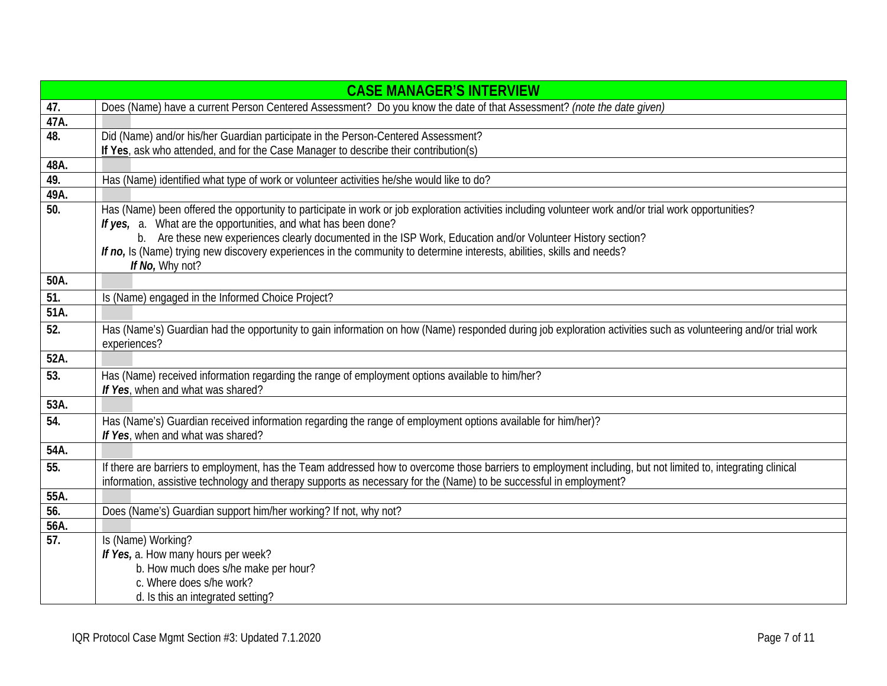|                   | <b>CASE MANAGER'S INTERVIEW</b>                                                                                                                                                                                          |  |  |  |
|-------------------|--------------------------------------------------------------------------------------------------------------------------------------------------------------------------------------------------------------------------|--|--|--|
| 47.               | Does (Name) have a current Person Centered Assessment? Do you know the date of that Assessment? (note the date given)                                                                                                    |  |  |  |
| 47A.              |                                                                                                                                                                                                                          |  |  |  |
| 48.               | Did (Name) and/or his/her Guardian participate in the Person-Centered Assessment?                                                                                                                                        |  |  |  |
|                   | If Yes, ask who attended, and for the Case Manager to describe their contribution(s)                                                                                                                                     |  |  |  |
| 48A.              |                                                                                                                                                                                                                          |  |  |  |
| 49.               | Has (Name) identified what type of work or volunteer activities he/she would like to do?                                                                                                                                 |  |  |  |
| 49A.              |                                                                                                                                                                                                                          |  |  |  |
| 50.               | Has (Name) been offered the opportunity to participate in work or job exploration activities including volunteer work and/or trial work opportunities?<br>If yes, a. What are the opportunities, and what has been done? |  |  |  |
|                   | b. Are these new experiences clearly documented in the ISP Work, Education and/or Volunteer History section?                                                                                                             |  |  |  |
|                   | If no, Is (Name) trying new discovery experiences in the community to determine interests, abilities, skills and needs?                                                                                                  |  |  |  |
|                   | If No, Why not?                                                                                                                                                                                                          |  |  |  |
| 50A.              |                                                                                                                                                                                                                          |  |  |  |
| 51.               | Is (Name) engaged in the Informed Choice Project?                                                                                                                                                                        |  |  |  |
| 51A.              |                                                                                                                                                                                                                          |  |  |  |
| 52.               | Has (Name's) Guardian had the opportunity to gain information on how (Name) responded during job exploration activities such as volunteering and/or trial work<br>experiences?                                           |  |  |  |
| 52A.              |                                                                                                                                                                                                                          |  |  |  |
| $\overline{53}$ . | Has (Name) received information regarding the range of employment options available to him/her?                                                                                                                          |  |  |  |
|                   | If Yes, when and what was shared?                                                                                                                                                                                        |  |  |  |
| 53A.              |                                                                                                                                                                                                                          |  |  |  |
| 54.               | Has (Name's) Guardian received information regarding the range of employment options available for him/her)?                                                                                                             |  |  |  |
|                   | If Yes, when and what was shared?                                                                                                                                                                                        |  |  |  |
| 54A.              |                                                                                                                                                                                                                          |  |  |  |
| 55.               | If there are barriers to employment, has the Team addressed how to overcome those barriers to employment including, but not limited to, integrating clinical                                                             |  |  |  |
|                   | information, assistive technology and therapy supports as necessary for the (Name) to be successful in employment?                                                                                                       |  |  |  |
| 55A.              |                                                                                                                                                                                                                          |  |  |  |
| 56.               | Does (Name's) Guardian support him/her working? If not, why not?                                                                                                                                                         |  |  |  |
| 56A.              |                                                                                                                                                                                                                          |  |  |  |
| 57.               | Is (Name) Working?                                                                                                                                                                                                       |  |  |  |
|                   | If Yes, a. How many hours per week?<br>b. How much does s/he make per hour?                                                                                                                                              |  |  |  |
|                   | c. Where does s/he work?                                                                                                                                                                                                 |  |  |  |
|                   | d. Is this an integrated setting?                                                                                                                                                                                        |  |  |  |
|                   |                                                                                                                                                                                                                          |  |  |  |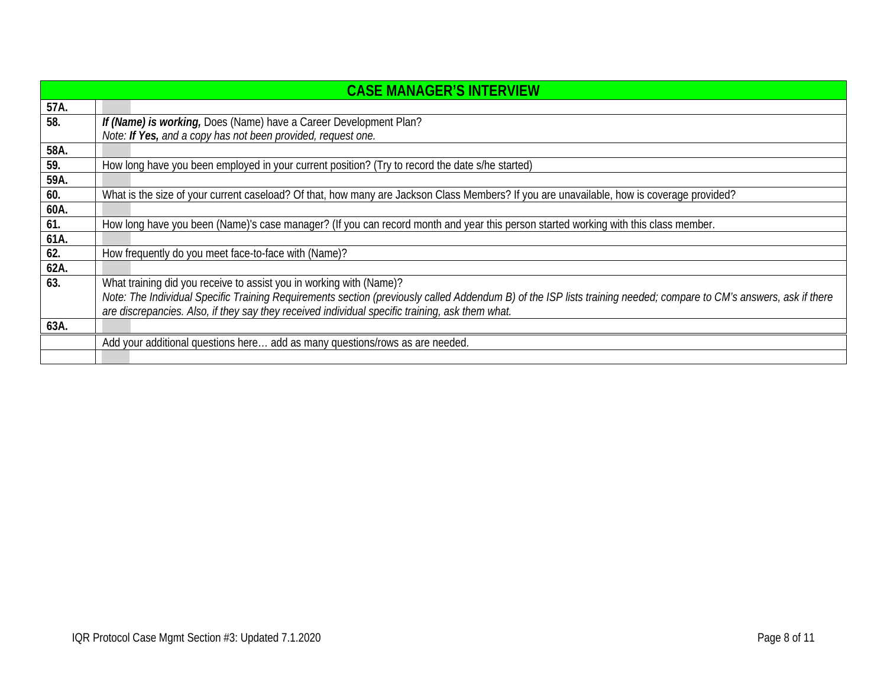|      | <b>CASE MANAGER'S INTERVIEW</b>                                                                                                                                    |
|------|--------------------------------------------------------------------------------------------------------------------------------------------------------------------|
| 57A. |                                                                                                                                                                    |
| 58.  | If (Name) is working, Does (Name) have a Career Development Plan?                                                                                                  |
|      | Note: If Yes, and a copy has not been provided, request one.                                                                                                       |
| 58A. |                                                                                                                                                                    |
| 59.  | How long have you been employed in your current position? (Try to record the date s/he started)                                                                    |
| 59A. |                                                                                                                                                                    |
| 60.  | What is the size of your current caseload? Of that, how many are Jackson Class Members? If you are unavailable, how is coverage provided?                          |
| 60A. |                                                                                                                                                                    |
| 61.  | How long have you been (Name)'s case manager? (If you can record month and year this person started working with this class member.                                |
| 61A. |                                                                                                                                                                    |
| 62.  | How frequently do you meet face-to-face with (Name)?                                                                                                               |
| 62A. |                                                                                                                                                                    |
| 63.  | What training did you receive to assist you in working with (Name)?                                                                                                |
|      | Note: The Individual Specific Training Requirements section (previously called Addendum B) of the ISP lists training needed; compare to CM's answers, ask if there |
|      | are discrepancies. Also, if they say they received individual specific training, ask them what.                                                                    |
| 63A. |                                                                                                                                                                    |
|      | Add your additional questions here add as many questions/rows as are needed.                                                                                       |
|      |                                                                                                                                                                    |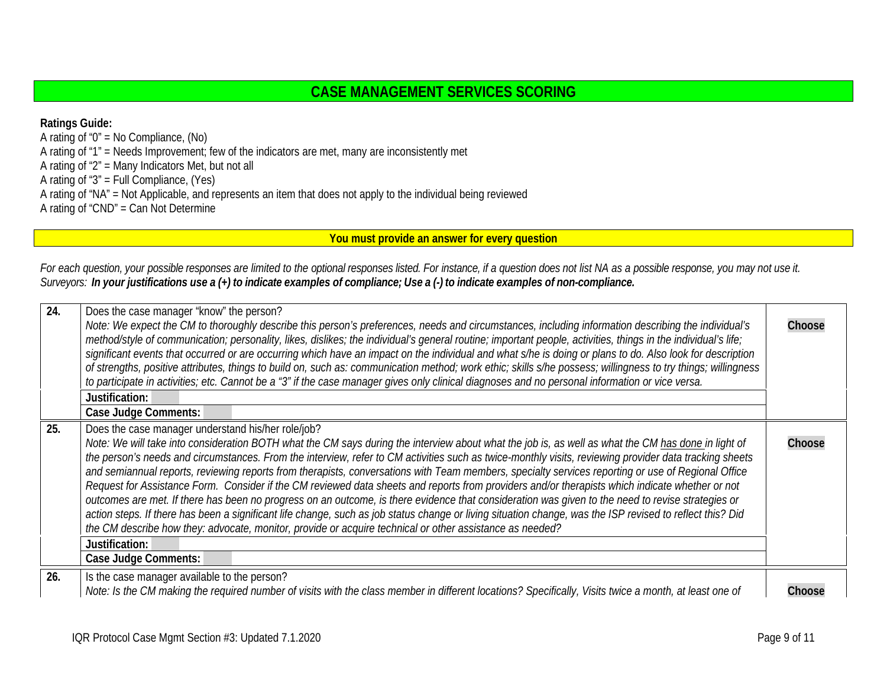## **CASE MANAGEMENT SERVICES SCORING**

**Ratings Guide:** A rating of "0" = No Compliance, (No) A rating of "1" = Needs Improvement; few of the indicators are met, many are inconsistently met A rating of "2" = Many Indicators Met, but not all A rating of "3" = Full Compliance, (Yes) A rating of "NA" = Not Applicable, and represents an item that does not apply to the individual being reviewed A rating of "CND" = Can Not Determine

<span id="page-8-2"></span><span id="page-8-1"></span><span id="page-8-0"></span>**You must provide an answer for every question**

*For each question, your possible responses are limited to the optional responses listed. For instance, if a question does not list NA as a possible response, you may not use it.* Surveyors: In your justifications use a (+) to indicate examples of compliance; Use a (-) to indicate examples of non-compliance.

| 24. | Does the case manager "know" the person?<br>Note: We expect the CM to thoroughly describe this person's preferences, needs and circumstances, including information describing the individual's<br>method/style of communication; personality, likes, dislikes; the individual's general routine; important people, activities, things in the individual's life;<br>significant events that occurred or are occurring which have an impact on the individual and what s/he is doing or plans to do. Also look for description<br>of strengths, positive attributes, things to build on, such as: communication method; work ethic; skills s/he possess; willingness to try things; willingness<br>to participate in activities; etc. Cannot be a "3" if the case manager gives only clinical diagnoses and no personal information or vice versa.<br>Justification:<br>Case Judge Comments:                                                                                                                                                                                                                                                                 | Choose |
|-----|-------------------------------------------------------------------------------------------------------------------------------------------------------------------------------------------------------------------------------------------------------------------------------------------------------------------------------------------------------------------------------------------------------------------------------------------------------------------------------------------------------------------------------------------------------------------------------------------------------------------------------------------------------------------------------------------------------------------------------------------------------------------------------------------------------------------------------------------------------------------------------------------------------------------------------------------------------------------------------------------------------------------------------------------------------------------------------------------------------------------------------------------------------------|--------|
| 25. | Does the case manager understand his/her role/job?<br>Note: We will take into consideration BOTH what the CM says during the interview about what the job is, as well as what the CM has done in light of<br>the person's needs and circumstances. From the interview, refer to CM activities such as twice-monthly visits, reviewing provider data tracking sheets<br>and semiannual reports, reviewing reports from therapists, conversations with Team members, specialty services reporting or use of Regional Office<br>Request for Assistance Form. Consider if the CM reviewed data sheets and reports from providers and/or therapists which indicate whether or not<br>outcomes are met. If there has been no progress on an outcome, is there evidence that consideration was given to the need to revise strategies or<br>action steps. If there has been a significant life change, such as job status change or living situation change, was the ISP revised to reflect this? Did<br>the CM describe how they: advocate, monitor, provide or acquire technical or other assistance as needed?<br>Justification:<br><b>Case Judge Comments:</b> | Choose |
| 26. | Is the case manager available to the person?<br>Note: Is the CM making the required number of visits with the class member in different locations? Specifically, Visits twice a month, at least one of                                                                                                                                                                                                                                                                                                                                                                                                                                                                                                                                                                                                                                                                                                                                                                                                                                                                                                                                                      | Choose |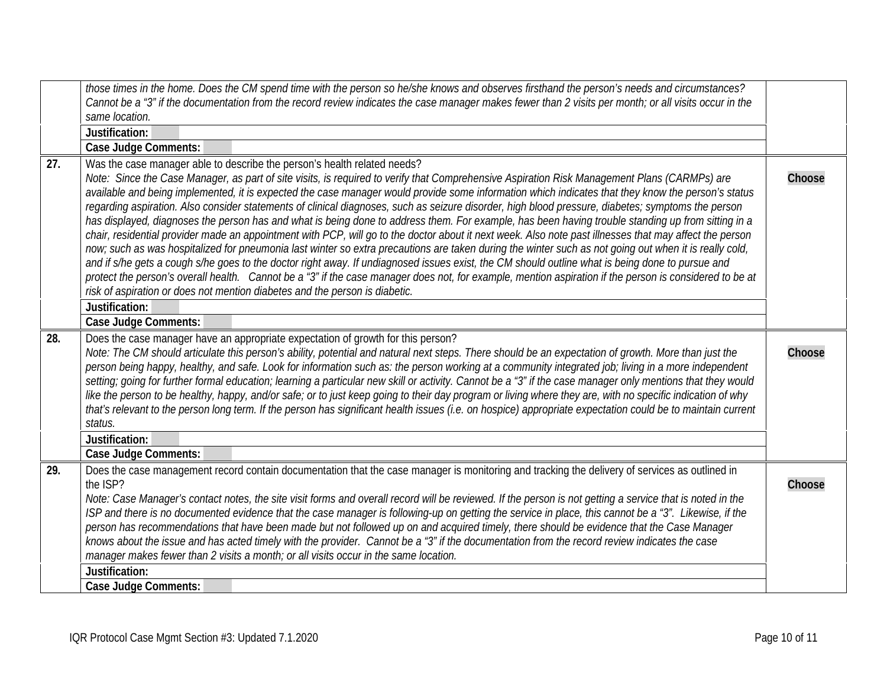<span id="page-9-2"></span><span id="page-9-1"></span><span id="page-9-0"></span>

|     | those times in the home. Does the CM spend time with the person so he/she knows and observes firsthand the person's needs and circumstances?                                                                                                                                                                                                                                                                                                                                                                                                                                                                                                                                                                                                                                                                                                                                                                                                                                                                                                                                                                                                                                                                                                                                                                                                                                                                  |        |
|-----|---------------------------------------------------------------------------------------------------------------------------------------------------------------------------------------------------------------------------------------------------------------------------------------------------------------------------------------------------------------------------------------------------------------------------------------------------------------------------------------------------------------------------------------------------------------------------------------------------------------------------------------------------------------------------------------------------------------------------------------------------------------------------------------------------------------------------------------------------------------------------------------------------------------------------------------------------------------------------------------------------------------------------------------------------------------------------------------------------------------------------------------------------------------------------------------------------------------------------------------------------------------------------------------------------------------------------------------------------------------------------------------------------------------|--------|
|     | Cannot be a "3" if the documentation from the record review indicates the case manager makes fewer than 2 visits per month; or all visits occur in the<br>same location.                                                                                                                                                                                                                                                                                                                                                                                                                                                                                                                                                                                                                                                                                                                                                                                                                                                                                                                                                                                                                                                                                                                                                                                                                                      |        |
|     | Justification:                                                                                                                                                                                                                                                                                                                                                                                                                                                                                                                                                                                                                                                                                                                                                                                                                                                                                                                                                                                                                                                                                                                                                                                                                                                                                                                                                                                                |        |
|     | <b>Case Judge Comments:</b>                                                                                                                                                                                                                                                                                                                                                                                                                                                                                                                                                                                                                                                                                                                                                                                                                                                                                                                                                                                                                                                                                                                                                                                                                                                                                                                                                                                   |        |
| 27. | Was the case manager able to describe the person's health related needs?<br>Note: Since the Case Manager, as part of site visits, is required to verify that Comprehensive Aspiration Risk Management Plans (CARMPs) are<br>available and being implemented, it is expected the case manager would provide some information which indicates that they know the person's status<br>regarding aspiration. Also consider statements of clinical diagnoses, such as seizure disorder, high blood pressure, diabetes; symptoms the person<br>has displayed, diagnoses the person has and what is being done to address them. For example, has been having trouble standing up from sitting in a<br>chair, residential provider made an appointment with PCP, will go to the doctor about it next week. Also note past illnesses that may affect the person<br>now; such as was hospitalized for pneumonia last winter so extra precautions are taken during the winter such as not going out when it is really cold,<br>and if s/he gets a cough s/he goes to the doctor right away. If undiagnosed issues exist, the CM should outline what is being done to pursue and<br>protect the person's overall health. Cannot be a "3" if the case manager does not, for example, mention aspiration if the person is considered to be at<br>risk of aspiration or does not mention diabetes and the person is diabetic. | Choose |
|     | Justification:                                                                                                                                                                                                                                                                                                                                                                                                                                                                                                                                                                                                                                                                                                                                                                                                                                                                                                                                                                                                                                                                                                                                                                                                                                                                                                                                                                                                |        |
|     | <b>Case Judge Comments:</b>                                                                                                                                                                                                                                                                                                                                                                                                                                                                                                                                                                                                                                                                                                                                                                                                                                                                                                                                                                                                                                                                                                                                                                                                                                                                                                                                                                                   |        |
| 28. | Does the case manager have an appropriate expectation of growth for this person?<br>Note: The CM should articulate this person's ability, potential and natural next steps. There should be an expectation of growth. More than just the<br>person being happy, healthy, and safe. Look for information such as: the person working at a community integrated job; living in a more independent<br>setting; going for further formal education; learning a particular new skill or activity. Cannot be a "3" if the case manager only mentions that they would<br>like the person to be healthy, happy, and/or safe; or to just keep going to their day program or living where they are, with no specific indication of why<br>that's relevant to the person long term. If the person has significant health issues (i.e. on hospice) appropriate expectation could be to maintain current<br>status.                                                                                                                                                                                                                                                                                                                                                                                                                                                                                                        | Choose |
|     | Justification:                                                                                                                                                                                                                                                                                                                                                                                                                                                                                                                                                                                                                                                                                                                                                                                                                                                                                                                                                                                                                                                                                                                                                                                                                                                                                                                                                                                                |        |
|     | <b>Case Judge Comments:</b>                                                                                                                                                                                                                                                                                                                                                                                                                                                                                                                                                                                                                                                                                                                                                                                                                                                                                                                                                                                                                                                                                                                                                                                                                                                                                                                                                                                   |        |
| 29. | Does the case management record contain documentation that the case manager is monitoring and tracking the delivery of services as outlined in<br>the ISP?<br>Note: Case Manager's contact notes, the site visit forms and overall record will be reviewed. If the person is not getting a service that is noted in the<br>ISP and there is no documented evidence that the case manager is following-up on getting the service in place, this cannot be a "3". Likewise, if the<br>person has recommendations that have been made but not followed up on and acquired timely, there should be evidence that the Case Manager<br>knows about the issue and has acted timely with the provider. Cannot be a "3" if the documentation from the record review indicates the case<br>manager makes fewer than 2 visits a month; or all visits occur in the same location.<br>Justification:                                                                                                                                                                                                                                                                                                                                                                                                                                                                                                                       | Choose |
|     | <b>Case Judge Comments:</b>                                                                                                                                                                                                                                                                                                                                                                                                                                                                                                                                                                                                                                                                                                                                                                                                                                                                                                                                                                                                                                                                                                                                                                                                                                                                                                                                                                                   |        |
|     |                                                                                                                                                                                                                                                                                                                                                                                                                                                                                                                                                                                                                                                                                                                                                                                                                                                                                                                                                                                                                                                                                                                                                                                                                                                                                                                                                                                                               |        |